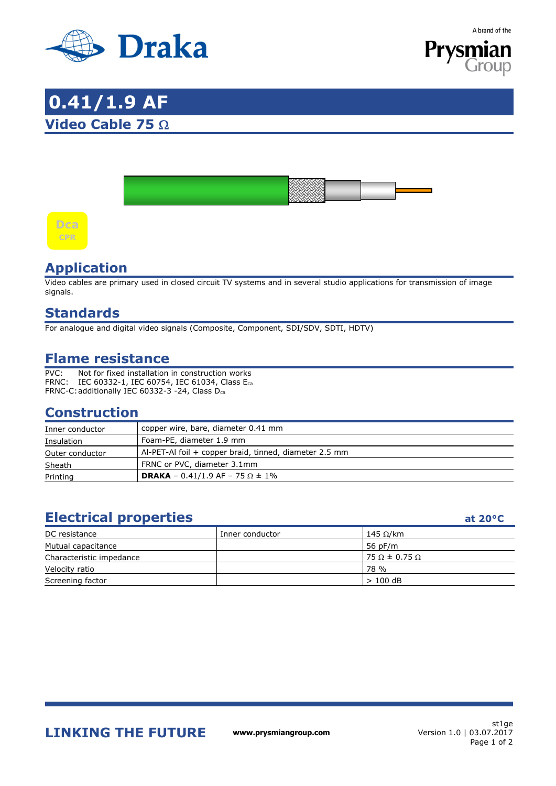

A brand of the



# **0.41/1.9 AF Video Cable 75** Ω





#### **Application**

Video cables are primary used in closed circuit TV systems and in several studio applications for transmission of image signals.

#### **Standards**

For analogue and digital video signals (Composite, Component, SDI/SDV, SDTI, HDTV)

#### **Flame resistance**

PVC: Not for fixed installation in construction works FRNC: IEC 60332-1, IEC 60754, IEC 61034, Class Eca FRNC-C: additionally IEC 60332-3 -24, Class Dca

#### **Construction**

| Inner conductor | copper wire, bare, diameter 0.41 mm                    |
|-----------------|--------------------------------------------------------|
| Insulation      | Foam-PE, diameter 1.9 mm                               |
| Outer conductor | Al-PET-Al foil + copper braid, tinned, diameter 2.5 mm |
| Sheath          | FRNC or PVC, diameter 3.1mm                            |
| Printing        | <b>DRAKA</b> – 0.41/1.9 AF – 75 $\Omega$ ± 1%          |

### **Electrical properties at 20°C**

| DC resistance            | Inner conductor | 145 $\Omega$ /km            |  |
|--------------------------|-----------------|-----------------------------|--|
| Mutual capacitance       |                 | 56 pF/m                     |  |
| Characteristic impedance |                 | $75 \Omega \pm 0.75 \Omega$ |  |
| Velocity ratio           |                 | 78 %                        |  |
| Screening factor         |                 | $>100$ dB                   |  |

**LINKING THE FUTURE www.prysmiangroup.com** 

st1ge Version 1.0 | 03.07.2017 Page 1 of 2